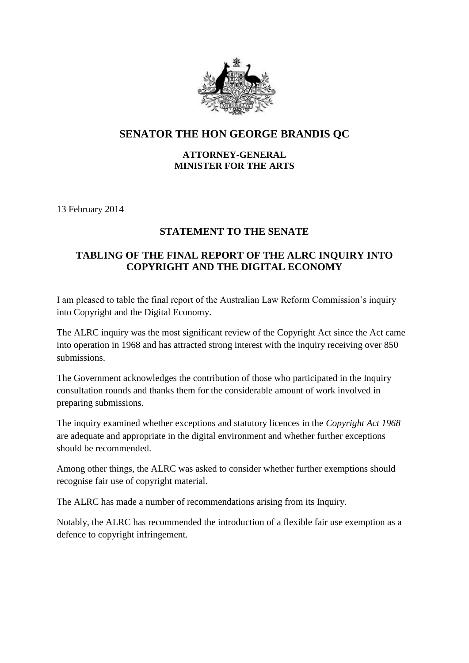

## **SENATOR THE HON GEORGE BRANDIS QC**

## **ATTORNEY-GENERAL MINISTER FOR THE ARTS**

13 February 2014

## **STATEMENT TO THE SENATE**

## **TABLING OF THE FINAL REPORT OF THE ALRC INQUIRY INTO COPYRIGHT AND THE DIGITAL ECONOMY**

I am pleased to table the final report of the Australian Law Reform Commission's inquiry into Copyright and the Digital Economy.

The ALRC inquiry was the most significant review of the Copyright Act since the Act came into operation in 1968 and has attracted strong interest with the inquiry receiving over 850 submissions.

The Government acknowledges the contribution of those who participated in the Inquiry consultation rounds and thanks them for the considerable amount of work involved in preparing submissions.

The inquiry examined whether exceptions and statutory licences in the *Copyright Act 1968* are adequate and appropriate in the digital environment and whether further exceptions should be recommended.

Among other things, the ALRC was asked to consider whether further exemptions should recognise fair use of copyright material.

The ALRC has made a number of recommendations arising from its Inquiry.

Notably, the ALRC has recommended the introduction of a flexible fair use exemption as a defence to copyright infringement.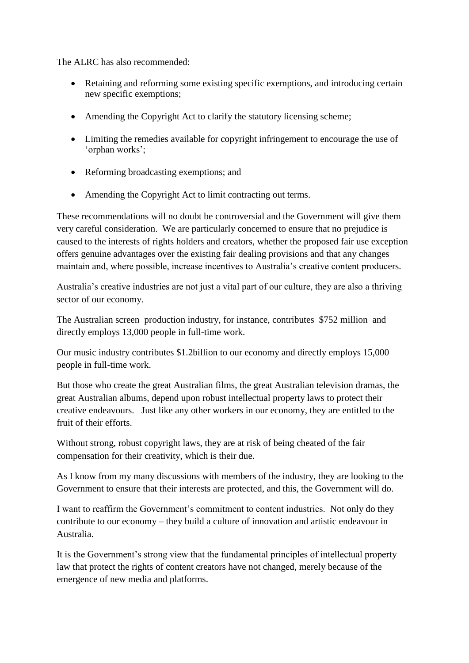The ALRC has also recommended:

- Retaining and reforming some existing specific exemptions, and introducing certain new specific exemptions;
- Amending the Copyright Act to clarify the statutory licensing scheme;
- Limiting the remedies available for copyright infringement to encourage the use of 'orphan works';
- Reforming broadcasting exemptions; and
- Amending the Copyright Act to limit contracting out terms.

These recommendations will no doubt be controversial and the Government will give them very careful consideration. We are particularly concerned to ensure that no prejudice is caused to the interests of rights holders and creators, whether the proposed fair use exception offers genuine advantages over the existing fair dealing provisions and that any changes maintain and, where possible, increase incentives to Australia's creative content producers.

Australia's creative industries are not just a vital part of our culture, they are also a thriving sector of our economy.

The Australian screen production industry, for instance, contributes \$752 million and directly employs 13,000 people in full-time work.

Our music industry contributes \$1.2billion to our economy and directly employs 15,000 people in full-time work.

But those who create the great Australian films, the great Australian television dramas, the great Australian albums, depend upon robust intellectual property laws to protect their creative endeavours. Just like any other workers in our economy, they are entitled to the fruit of their efforts.

Without strong, robust copyright laws, they are at risk of being cheated of the fair compensation for their creativity, which is their due.

As I know from my many discussions with members of the industry, they are looking to the Government to ensure that their interests are protected, and this, the Government will do.

I want to reaffirm the Government's commitment to content industries. Not only do they contribute to our economy – they build a culture of innovation and artistic endeavour in Australia.

It is the Government's strong view that the fundamental principles of intellectual property law that protect the rights of content creators have not changed, merely because of the emergence of new media and platforms.